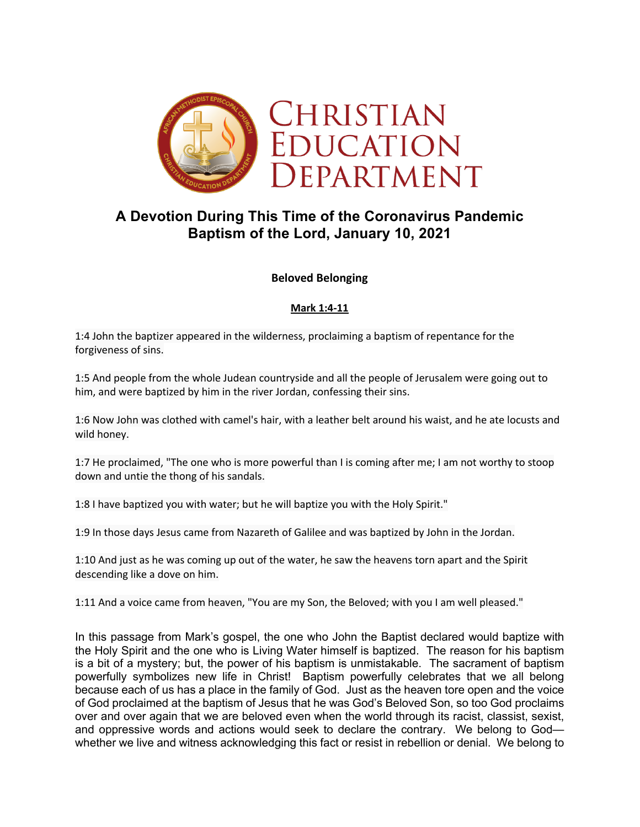

# **A Devotion During This Time of the Coronavirus Pandemic Baptism of the Lord, January 10, 2021**

### **Beloved Belonging**

#### **Mark 1:4-11**

1:4 John the baptizer appeared in the wilderness, proclaiming a baptism of repentance for the forgiveness of sins.

1:5 And people from the whole Judean countryside and all the people of Jerusalem were going out to him, and were baptized by him in the river Jordan, confessing their sins.

1:6 Now John was clothed with camel's hair, with a leather belt around his waist, and he ate locusts and wild honey.

1:7 He proclaimed, "The one who is more powerful than I is coming after me; I am not worthy to stoop down and untie the thong of his sandals.

1:8 I have baptized you with water; but he will baptize you with the Holy Spirit."

1:9 In those days Jesus came from Nazareth of Galilee and was baptized by John in the Jordan.

1:10 And just as he was coming up out of the water, he saw the heavens torn apart and the Spirit descending like a dove on him.

1:11 And a voice came from heaven, "You are my Son, the Beloved; with you I am well pleased."

In this passage from Mark's gospel, the one who John the Baptist declared would baptize with the Holy Spirit and the one who is Living Water himself is baptized. The reason for his baptism is a bit of a mystery; but, the power of his baptism is unmistakable. The sacrament of baptism powerfully symbolizes new life in Christ! Baptism powerfully celebrates that we all belong because each of us has a place in the family of God. Just as the heaven tore open and the voice of God proclaimed at the baptism of Jesus that he was God's Beloved Son, so too God proclaims over and over again that we are beloved even when the world through its racist, classist, sexist, and oppressive words and actions would seek to declare the contrary. We belong to God whether we live and witness acknowledging this fact or resist in rebellion or denial. We belong to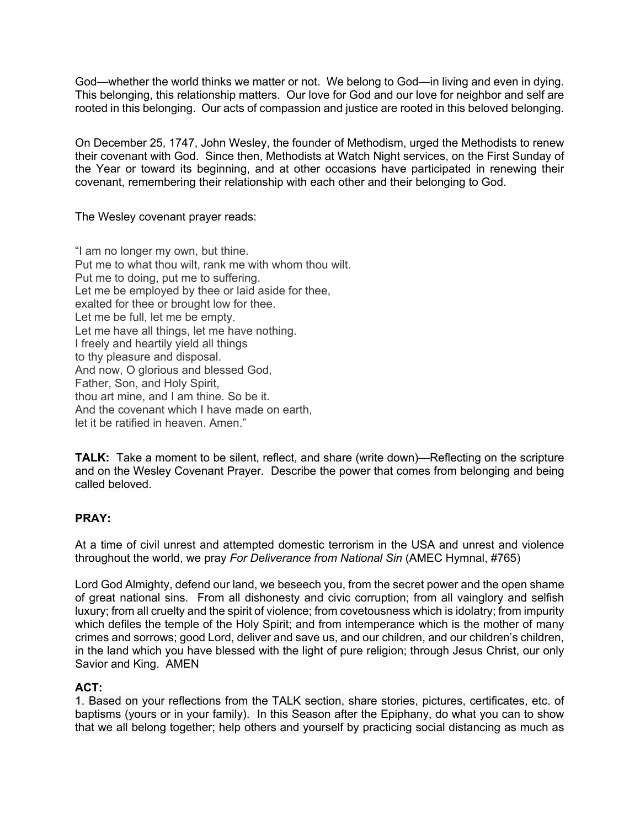God—whether the world thinks we matter or not. We belong to God—in living and even in dying. This belonging, this relationship matters. Our love for God and our love for neighbor and self are rooted in this belonging. Our acts of compassion and justice are rooted in this beloved belonging.

On December 25, 1747, John Wesley, the founder of Methodism, urged the Methodists to renew their covenant with God. Since then, Methodists at Watch Night services, on the First Sunday of the Year or toward its beginning, and at other occasions have participated in renewing their covenant, remembering their relationship with each other and their belonging to God.

The Wesley covenant prayer reads:

"I am no longer my own, but thine. Put me to what thou wilt, rank me with whom thou wilt. Put me to doing, put me to suffering. Let me be employed by thee or laid aside for thee, exalted for thee or brought low for thee. Let me be full, let me be empty. Let me have all things, let me have nothing. I freely and heartily yield all things to thy pleasure and disposal. And now, O glorious and blessed God, Father, Son, and Holy Spirit, thou art mine, and I am thine. So be it. And the covenant which I have made on earth, let it be ratified in heaven. Amen."

**TALK:** Take a moment to be silent, reflect, and share (write down)—Reflecting on the scripture and on the Wesley Covenant Prayer. Describe the power that comes from belonging and being called beloved.

## **PRAY:**

At a time of civil unrest and attempted domestic terrorism in the USA and unrest and violence throughout the world, we pray *For Deliverance from National Sin* (AMEC Hymnal, #765)

Lord God Almighty, defend our land, we beseech you, from the secret power and the open shame of great national sins. From all dishonesty and civic corruption; from all vainglory and selfish luxury; from all cruelty and the spirit of violence; from covetousness which is idolatry; from impurity which defiles the temple of the Holy Spirit; and from intemperance which is the mother of many crimes and sorrows; good Lord, deliver and save us, and our children, and our children's children, in the land which you have blessed with the light of pure religion; through Jesus Christ, our only Savior and King. AMEN

#### **ACT:**

1. Based on your reflections from the TALK section, share stories, pictures, certificates, etc. of baptisms (yours or in your family). In this Season after the Epiphany, do what you can to show that we all belong together; help others and yourself by practicing social distancing as much as